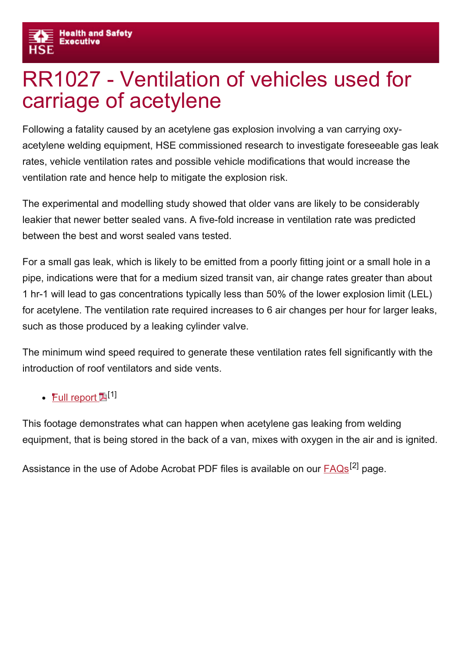## RR1027 Ventilation of vehicles used for carriage of acetylene

Following a fatality caused by an acetylene gas explosion involving a van carrying oxyacetylene welding equipment, HSE commissioned research to investigate foreseeable gas leak rates, vehicle ventilation rates and possible vehicle modifications that would increase the ventilation rate and hence help to mitigate the explosion risk.

The experimental and modelling study showed that older vans are likely to be considerably leakier that newer better sealed vans. A five-fold increase in ventilation rate was predicted between the best and worst sealed vans tested.

For a small gas leak, which is likely to be emitted from a poorly fitting joint or a small hole in a pipe, indications were that for a medium sized transit van, air change rates greater than about 1 hr-1 will lead to gas concentrations typically less than 50% of the lower explosion limit (LEL) for acetylene. The ventilation rate required increases to 6 air changes per hour for larger leaks, such as those produced by a leaking cylinder valve.

The minimum wind speed required to generate these ventilation rates fell significantly with the introduction of roof ventilators and side vents.

## **Full [report](http://www.hse.gov.uk/research/rrpdf/rr1027.pdf) 1**[1]

This footage demonstrates what can happen when acetylene gas leaking from welding equipment, that is being stored in the back of a van, mixes with oxygen in the air and is ignited.

Assistance in the use of Adobe Acrobat PDF files is available on our **[FAQs](http://www.hse.gov.uk/faq.htm)<sup>[2]</sup> page**.